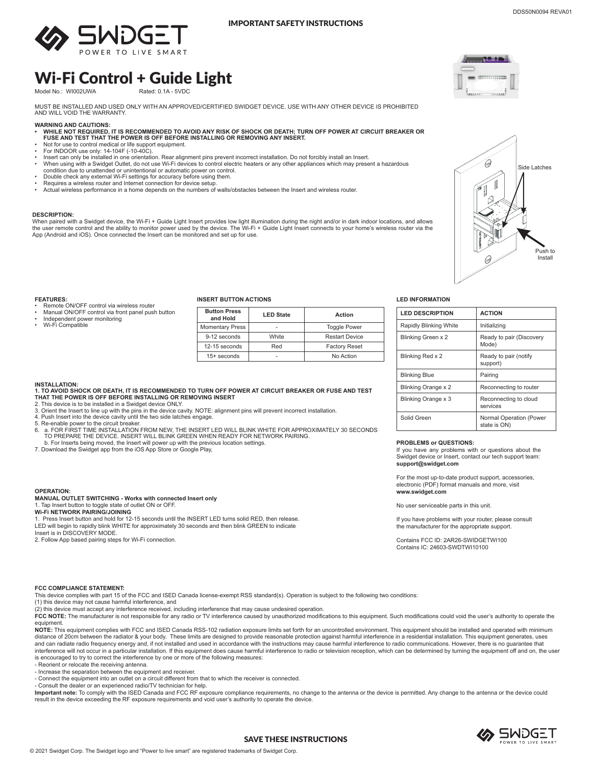

## IMPORTANT SAFETY INSTRUCTIONS

**Transfer** 6888888888

 $\Theta$ 

 $\mathbb{I}$ 

0

Push to Install

Side Latches

# Wi-Fi Control + Guide Light

Model No.: WI002UWA

MUST BE INSTALLED AND USED ONLY WITH AN APPROVED/CERTIFIED SWIDGET DEVICE. USE WITH ANY OTHER DEVICE IS PROHIBITED AND WILL VOID THE WARRANTY.

- **WARNING AND CAUTIONS: • WHILE NOT REQUIRED, IT IS RECOMMENDED TO AVOID ANY RISK OF SHOCK OR DEATH; TURN OFF POWER AT CIRCUIT BREAKER OR FUSE AND TEST THAT THE POWER IS OFF BEFORE INSTALLING OR REMOVING ANY INSERT.**
- Not for use to control medical or life support equipment. For INDOOR use only: 14-104F (-10-40C).
- 
- Insert can only be installed in one orientation. Rear alignment pins prevent incorrect installation. Do not forcibly install an Insert.<br>• When using with a Swidget Outlet, do not use Wi-Fi devices to control electr condition due to unattended or unintentional or automatic power on control.
- Double check any external Wi-Fi settings for accuracy before using them.
- Requires a wireless router and Internet connection for device setup.
- Actual wireless performance in a home depends on the numbers of walls/obstacles between the Insert and wireless router.

## **DESCRIPTION:**

When paired with a Swidget device, the Wi-Fi + Guide Light Insert provides low light illumination during the night and/or in dark indoor locations, and allows<br>the user remote control and the ability to monitor power used b

## **FEATURES:**

- Remote ON/OFF control via wireless router
- Manual ON/OFF control via front panel push button Independent power monitoring
- Wi-Fi Compatible

# **INSERT BUTTON ACTIONS LED INFORMATION**

| <b>Button Press</b><br>and Hold | <b>LED State</b> | Action                |
|---------------------------------|------------------|-----------------------|
| <b>Momentary Press</b>          |                  | <b>Toggle Power</b>   |
| 9-12 seconds                    | White            | <b>Restart Device</b> |
| 12-15 seconds                   | Red              | <b>Factory Reset</b>  |
| $15+$ seconds                   |                  | No Action             |

#### **INSTALLATION:**

### **1. TO AVOID SHOCK OR DEATH, IT IS RECOMMENDED TO TURN OFF POWER AT CIRCUIT BREAKER OR FUSE AND TEST THAT THE POWER IS OFF BEFORE INSTALLING OR REMOVING INSERT**

- 
- 2. This device is to be installed in a Swidget device ONLY. 3. Orient the Insert to line up with the pins in the device cavity. NOTE: alignment pins will prevent incorrect installation.
- 4. Push Insert into the device cavity until the two side latches engage.
- 5. Re-enable power to the circuit breaker. 6. a. FOR FIRST TIME INSTALLATION FROM NEW, THE INSERT LED WILL BLINK WHITE FOR APPROXIMATELY 30 SECONDS .<br>TO PREPARE THE DEVICE. INSERT WILL BLINK GREEN WHEN READY FOR NETWORK PAIRING.
- 
- b. For Inserts being moved, the Insert will power up with the previous location settings. 7. Download the Swidget app from the iOS App Store or Google Play,
- 

### **OPERATION:**

## **MANUAL OUTLET SWITCHING - Works with connected Insert only** 1. Tap Insert button to toggle state of outlet ON or OFF.

**Wi-Fi NETWORK PAIRING/JOINING**

1. Press Insert button and hold for 12-15 seconds until the INSERT LED turns solid RED, then release. LED will begin to rapidly blink WHITE for approximately 30 seconds and then blink GREEN to indicate Insert is in DISCOVERY MODE.

2. Follow App based pairing steps for Wi-Fi connection.

| <b>LED DESCRIPTION</b>     | <b>ACTION</b>                           |  |
|----------------------------|-----------------------------------------|--|
| Rapidly Blinking White     | Initializing                            |  |
| <b>Blinking Green x 2</b>  | Ready to pair (Discovery<br>Mode)       |  |
| Blinking Red x 2           | Ready to pair (notify<br>support)       |  |
| <b>Blinking Blue</b>       | Pairing                                 |  |
| <b>Blinking Orange x 2</b> | Reconnecting to router                  |  |
| Blinking Orange x 3        | Reconnecting to cloud<br>services       |  |
| Solid Green                | Normal Operation (Power<br>state is ON) |  |

#### **PROBLEMS or QUESTIONS:**

If you have any problems with or questions about the Swidget device or Insert, contact our tech support team: **support@swidget.com**

For the most up-to-date product support, accessories, electronic (PDF) format manuals and more, visit **www.swidget.com**

No user serviceable parts in this unit.

If you have problems with your router, please consult the manufacturer for the appropriate support.

Contains FCC ID: 2AR26-SWIDGETWI100 Contains IC: 24603-SWDTWI10100

#### **FCC COMPLIANCE STATEMENT:**

This device complies with part 15 of the FCC and ISED Canada license-exempt RSS standard(s). Operation is subject to the following two conditions:

(1) this device may not cause harmful interference, and

(2) this device must accept any interference received, including interference that may cause undesired operation.

FCC NOTE: The manufacturer is not responsible for any radio or TV interference caused by unauthorized modifications to this equipment. Such modifications could void the user's authority to operate the equipment.

**NOTE:** This equipment complies with FCC and ISED Canada RSS-102 radiation exposure limits set forth for an uncontrolled environment. This equipment should be installed and operated with minimum distance of 20cm between the radiator & your body. These limits are designed to provide reasonable protection against harmful interference in a residential installation. This equipment generates, uses and can radiate radio frequency energy and, if not installed and used in accordance with the instructions may cause harmful interference to radio communications. However, there is no guarantee that<br>interference will not oc is encouraged to try to correct the interference by one or more of the following measures:

- Reorient or relocate the receiving antenna.

- Increase the separation between the equipment and receiver.

- Connect the equipment into an outlet on a circuit different from that to which the receiver is connected.

- Consult the dealer or an experienced radio/TV technician for help.

**Important note:** To comply with the ISED Canada and FCC RF exposure compliance requirements, no change to the antenna or the device is permitted. Any change to the antenna or the device could<br>result in the device exceedin

SAVE THESE INSTRUCTIONS